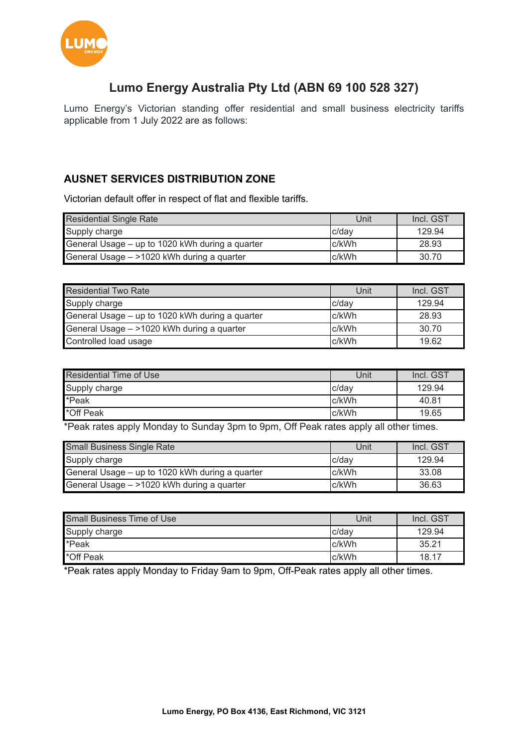

# **Lumo Energy Australia Pty Ltd (ABN 69 100 528 327)**

Lumo Energy's Victorian standing offer residential and small business electricity tariffs applicable from 1 July 2022 are as follows:

## **AUSNET SERVICES DISTRIBUTION ZONE**

Victorian default offer in respect of flat and flexible tariffs.

| <b>Residential Single Rate</b>                  | Unit   | Incl. GST |
|-------------------------------------------------|--------|-----------|
| Supply charge                                   | c/dav  | 129.94    |
| General Usage – up to 1020 kWh during a quarter | c/kWh  | 28.93     |
| General Usage - >1020 kWh during a quarter      | Ic/kWh | 30.70     |

| Residential Two Rate                            | Unit  | Incl. GST |
|-------------------------------------------------|-------|-----------|
| Supply charge                                   | c/day | 129.94    |
| General Usage – up to 1020 kWh during a quarter | c/kWh | 28.93     |
| General Usage - >1020 kWh during a quarter      | c/kWh | 30.70     |
| Controlled load usage                           | c/kWh | 19.62     |

| <b>Residential Time of Use</b> | Unit   | Incl. GST |
|--------------------------------|--------|-----------|
| Supply charge                  | c/dav  | 129.94    |
| *Peak                          | Ic/kWh | 40.81     |
| *Off Peak                      | Ic/kWh | 19.65     |

\*Peak rates apply Monday to Sunday 3pm to 9pm, Off Peak rates apply all other times.

| Small Business Single Rate                      | Unit  | Incl. GST |
|-------------------------------------------------|-------|-----------|
| Supply charge                                   | c/dav | 129.94    |
| General Usage - up to 1020 kWh during a quarter | c/kWh | 33.08     |
| General Usage - >1020 kWh during a quarter      | c/kWh | 36.63     |

| <b>Small Business Time of Use</b> | Unit   | Incl. GST |
|-----------------------------------|--------|-----------|
| Supply charge                     | c/dav  | 129.94    |
| *Peak                             | c/kWh  | 35.21     |
| *Off Peak                         | Ic/kWh | 18.17     |

\*Peak rates apply Monday to Friday 9am to 9pm, Off-Peak rates apply all other times.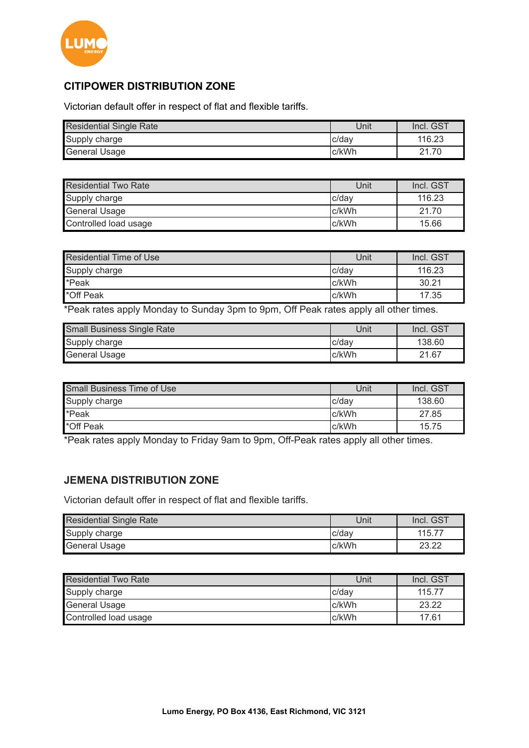

# **CITIPOWER DISTRIBUTION ZONE**

Victorian default offer in respect of flat and flexible tariffs.

| Residential Single Rate | Unit   | Incl. GST |
|-------------------------|--------|-----------|
| Supply charge           | Ic/dav | 116.23    |
| <b>General Usage</b>    | c/kWh  | 70<br>21  |

| <b>Residential Two Rate</b> | Unit  | Incl. GST |
|-----------------------------|-------|-----------|
| Supply charge               | c/dav | 116.23    |
| <b>General Usage</b>        | c/kWh | 21.70     |
| Controlled load usage       | c/kWh | 15.66     |

| <b>Residential Time of Use</b>                                                                              | Unit     | Incl. GST |
|-------------------------------------------------------------------------------------------------------------|----------|-----------|
| Supply charge                                                                                               | Ic/dav   | 116.23    |
| *Peak                                                                                                       | c/kWh    | 30.21     |
| *Off Peak                                                                                                   | Ic/kWh   | 17.35     |
| $\sim$ $\sim$ $\sim$<br>$\sim$ $\sim$ $\sim$ $\sim$ $\sim$<br>.<br>$\sim$ $\sim$<br>$\sim$ $\sim$<br>$\sim$ | . .<br>. | . .       |

\*Peak rates apply Monday to Sunday 3pm to 9pm, Off Peak rates apply all other times.

| Small Business Single Rate | Unit   | Incl. GST |
|----------------------------|--------|-----------|
| Supply charge              | Ic/dav | 138.60    |
| <b>General Usage</b>       | Ic/kWh | 21.67     |

| Small Business Time of Use | Unit   | Incl. GST |
|----------------------------|--------|-----------|
| Supply charge              | c/dav  | 138.60    |
| *Peak                      | Ic/kWh | 27.85     |
| *Off Peak                  | c/kWh  | 15.75     |

\*Peak rates apply Monday to Friday 9am to 9pm, Off-Peak rates apply all other times.

## **JEMENA DISTRIBUTION ZONE**

Victorian default offer in respect of flat and flexible tariffs.

| <b>Residential Single Rate</b> | Unit  | Incl. GST |
|--------------------------------|-------|-----------|
| Supply charge                  | c/dav | 115.77    |
| General Usage                  | c/kWh | 23.22     |

| <b>Residential Two Rate</b> | Unit   | Incl. GST |
|-----------------------------|--------|-----------|
| Supply charge               | Ic/dav | 115.77    |
| <b>General Usage</b>        | Ic/kWh | 23.22     |
| Controlled load usage       | c/kWh  | 17.61     |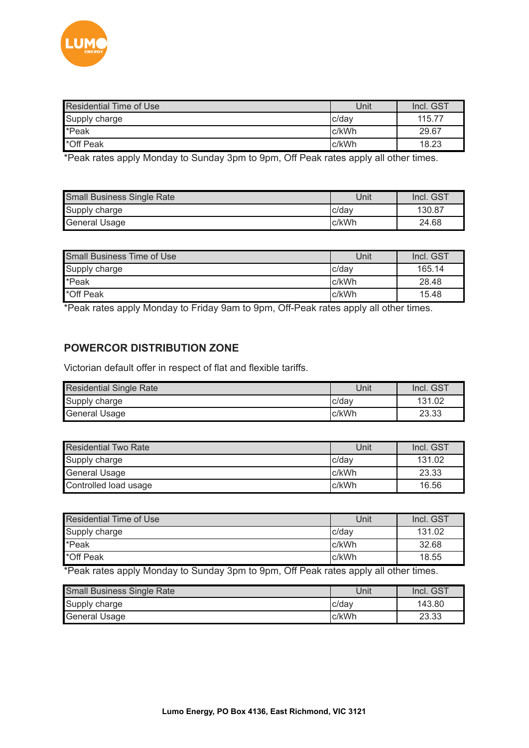

| <b>Residential Time of Use</b> | Unit   | Incl. GST |
|--------------------------------|--------|-----------|
| Supply charge                  | Ic/dav | 115.77    |
| *Peak                          | Ic/kWh | 29.67     |
| *Off Peak                      | Ic/kWh | 18.23     |

\*Peak rates apply Monday to Sunday 3pm to 9pm, Off Peak rates apply all other times.

| Small Business Single Rate | Unit   | Incl. GST |
|----------------------------|--------|-----------|
| Supply charge              | Ic/dav | 130.87    |
| General Usage              | c/kWh  | 24.68     |

| <b>Small Business Time of Use</b> | Unit   | Incl. GST |
|-----------------------------------|--------|-----------|
| Supply charge                     | Ic/dav | 165.14    |
| *Peak                             | Ic/kWh | 28.48     |
| *Off Peak                         | c/kWh  | 15.48     |

\*Peak rates apply Monday to Friday 9am to 9pm, Off-Peak rates apply all other times.

#### **POWERCOR DISTRIBUTION ZONE**

Victorian default offer in respect of flat and flexible tariffs.

| <b>Residential Single Rate</b> | Unit   | Incl. GST |
|--------------------------------|--------|-----------|
| Supply charge                  | Ic/dav | 131.02    |
| General Usage                  | Ic/kWh | 23.33     |

| Residential Two Rate  | Unit   | Incl. GST |
|-----------------------|--------|-----------|
| Supply charge         | Ic/dav | 131.02    |
| <b>General Usage</b>  | Ic/kWh | 23.33     |
| Controlled load usage | c/kWh  | 16.56     |

| Residential Time of Use | Unit  | Incl. GST |
|-------------------------|-------|-----------|
| Supply charge           | c/dav | 131.02    |
| *Peak                   | c/kWh | 32.68     |
| <b>'</b> *Off Peak      | c/kWh | 18.55     |

\*Peak rates apply Monday to Sunday 3pm to 9pm, Off Peak rates apply all other times.

| Small Business Single Rate | Unit   | Incl. GST |
|----------------------------|--------|-----------|
| Supply charge              | Ic/dav | 143.80    |
| <b>General Usage</b>       | Ic/kWh | 23.33     |